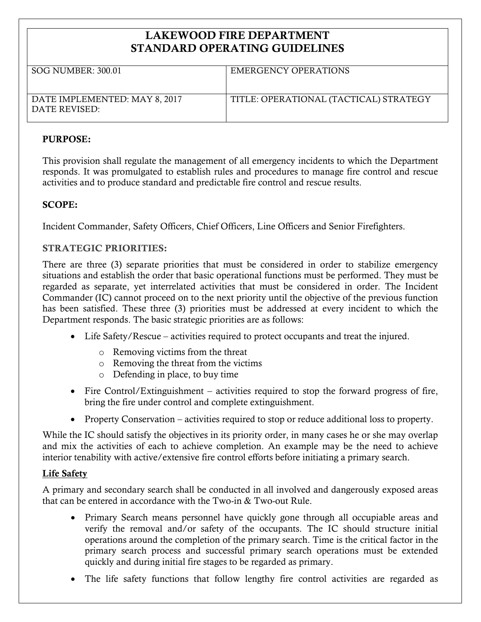# **LAKEWOOD FIRE DEPARTMENT STANDARD OPERATING GUIDELINES**

| <b>SOG NUMBER: 300.01</b>                      | EMERGENCY OPERATIONS                   |
|------------------------------------------------|----------------------------------------|
| DATE IMPLEMENTED: MAY 8, 2017<br>DATE REVISED: | TITLE: OPERATIONAL (TACTICAL) STRATEGY |

#### **PURPOSE:**

This provision shall regulate the management of all emergency incidents to which the Department responds. It was promulgated to establish rules and procedures to manage fire control and rescue activities and to produce standard and predictable fire control and rescue results.

### **SCOPE:**

Incident Commander, Safety Officers, Chief Officers, Line Officers and Senior Firefighters.

## **STRATEGIC PRIORITIES:**

There are three (3) separate priorities that must be considered in order to stabilize emergency situations and establish the order that basic operational functions must be performed. They must be regarded as separate, yet interrelated activities that must be considered in order. The Incident Commander (IC) cannot proceed on to the next priority until the objective of the previous function has been satisfied. These three (3) priorities must be addressed at every incident to which the Department responds. The basic strategic priorities are as follows:

- Life Safety/Rescue activities required to protect occupants and treat the injured.
	- o Removing victims from the threat
	- o Removing the threat from the victims
	- o Defending in place, to buy time
- Fire Control/Extinguishment activities required to stop the forward progress of fire, bring the fire under control and complete extinguishment.
- Property Conservation activities required to stop or reduce additional loss to property.

While the IC should satisfy the objectives in its priority order, in many cases he or she may overlap and mix the activities of each to achieve completion. An example may be the need to achieve interior tenability with active/extensive fire control efforts before initiating a primary search.

### **Life Safety**

A primary and secondary search shall be conducted in all involved and dangerously exposed areas that can be entered in accordance with the Two-in & Two-out Rule.

- Primary Search means personnel have quickly gone through all occupiable areas and verify the removal and/or safety of the occupants. The IC should structure initial operations around the completion of the primary search. Time is the critical factor in the primary search process and successful primary search operations must be extended quickly and during initial fire stages to be regarded as primary.
- The life safety functions that follow lengthy fire control activities are regarded as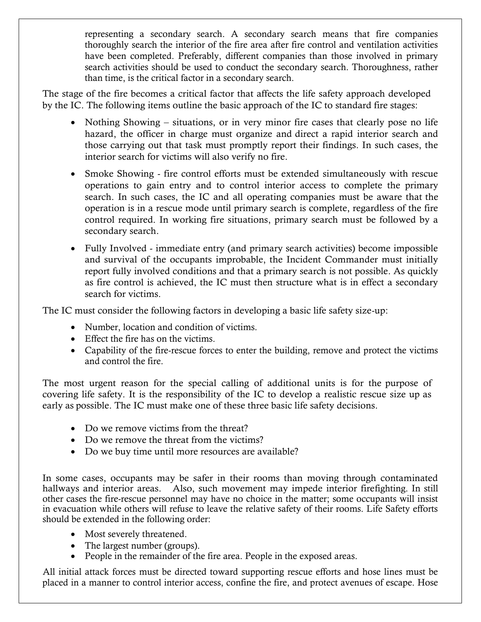representing a secondary search. A secondary search means that fire companies thoroughly search the interior of the fire area after fire control and ventilation activities have been completed. Preferably, different companies than those involved in primary search activities should be used to conduct the secondary search. Thoroughness, rather than time, is the critical factor in a secondary search.

The stage of the fire becomes a critical factor that affects the life safety approach developed by the IC. The following items outline the basic approach of the IC to standard fire stages:

- Nothing Showing situations, or in very minor fire cases that clearly pose no life hazard, the officer in charge must organize and direct a rapid interior search and those carrying out that task must promptly report their findings. In such cases, the interior search for victims will also verify no fire.
- Smoke Showing fire control efforts must be extended simultaneously with rescue operations to gain entry and to control interior access to complete the primary search. In such cases, the IC and all operating companies must be aware that the operation is in a rescue mode until primary search is complete, regardless of the fire control required. In working fire situations, primary search must be followed by a secondary search.
- Fully Involved immediate entry (and primary search activities) become impossible and survival of the occupants improbable, the Incident Commander must initially report fully involved conditions and that a primary search is not possible. As quickly as fire control is achieved, the IC must then structure what is in effect a secondary search for victims.

The IC must consider the following factors in developing a basic life safety size-up:

- Number, location and condition of victims.
- Effect the fire has on the victims.
- Capability of the fire-rescue forces to enter the building, remove and protect the victims and control the fire.

The most urgent reason for the special calling of additional units is for the purpose of covering life safety. It is the responsibility of the IC to develop a realistic rescue size up as early as possible. The IC must make one of these three basic life safety decisions.

- Do we remove victims from the threat?
- Do we remove the threat from the victims?
- Do we buy time until more resources are available?

In some cases, occupants may be safer in their rooms than moving through contaminated hallways and interior areas. Also, such movement may impede interior firefighting. In still other cases the fire-rescue personnel may have no choice in the matter; some occupants will insist in evacuation while others will refuse to leave the relative safety of their rooms. Life Safety efforts should be extended in the following order:

- Most severely threatened.
- The largest number (groups).
- People in the remainder of the fire area. People in the exposed areas.

All initial attack forces must be directed toward supporting rescue efforts and hose lines must be placed in a manner to control interior access, confine the fire, and protect avenues of escape. Hose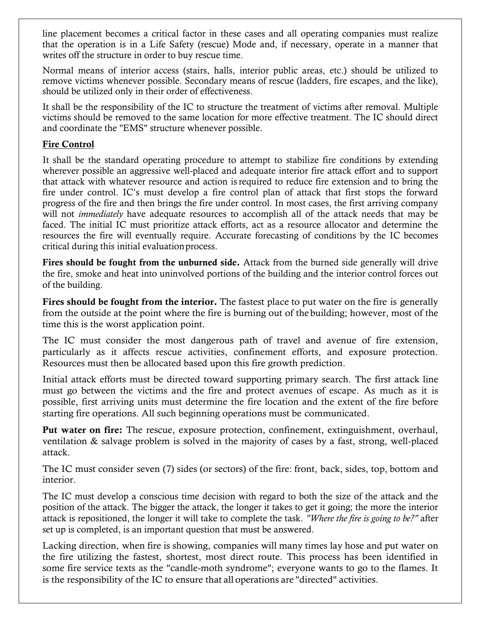line placement becomes a critical factor in these cases and all operating companies must realize that the operation is in a Life Safety (rescue) Mode and, if necessary, operate in a manner that writes off the structure in order to buy rescue time.

Normal means of interior access (stairs, halls, interior public areas, etc.) should be utilized to remove victims whenever possible. Secondary means of rescue (ladders, fire escapes, and the like), should be utilized only in their order of effectiveness.

It shall be the responsibility of the IC to structure the treatment of victims after removal. Multiple victims should be removed to the same location for more effective treatment. The IC should direct and coordinate the "EMS" structure whenever possible.

## **Fire Control**

It shall be the standard operating procedure to attempt to stabilize fire conditions by extending wherever possible an aggressive well-placed and adequate interior fire attack effort and to support that attack with whatever resource and action isrequired to reduce fire extension and to bring the fire under control. IC's must develop a fire control plan of attack that first stops the forward progress of the fire and then brings the fire under control. In most cases, the first arriving company will not *immediately* have adequate resources to accomplish all of the attack needs that may be faced. The initial IC must prioritize attack efforts, act as a resource allocator and determine the resources the fire will eventually require. Accurate forecasting of conditions by the IC becomes critical during this initial evaluationprocess.

**Fires should be fought from the unburned side.** Attack from the burned side generally will drive the fire, smoke and heat into uninvolved portions of the building and the interior control forces out of the building.

**Fires should be fought from the interior.** The fastest place to put water on the fire is generally from the outside at the point where the fire is burning out of the building; however, most of the time this is the worst application point.

The IC must consider the most dangerous path of travel and avenue of fire extension, particularly as it affects rescue activities, confinement efforts, and exposure protection. Resources must then be allocated based upon this fire growth prediction.

Initial attack efforts must be directed toward supporting primary search. The first attack line must go between the victims and the fire and protect avenues of escape. As much as it is possible, first arriving units must determine the fire location and the extent of the fire before starting fire operations. All such beginning operations must be communicated.

**Put water on fire:** The rescue, exposure protection, confinement, extinguishment, overhaul, ventilation & salvage problem is solved in the majority of cases by a fast, strong, well-placed attack.

The IC must consider seven (7) sides (or sectors) of the fire: front, back, sides, top, bottom and interior.

The IC must develop a conscious time decision with regard to both the size of the attack and the position of the attack. The bigger the attack, the longer it takes to get it going; the more the interior attack is repositioned, the longer it will take to complete the task. *"Where the fire is going to be?"* after set up is completed, is an important question that must be answered.

Lacking direction, when fire is showing, companies will many times lay hose and put water on the fire utilizing the fastest, shortest, most direct route. This process has been identified in some fire service texts as the "candle-moth syndrome"; everyone wants to go to the flames. It is the responsibility of the IC to ensure that all operations are "directed" activities.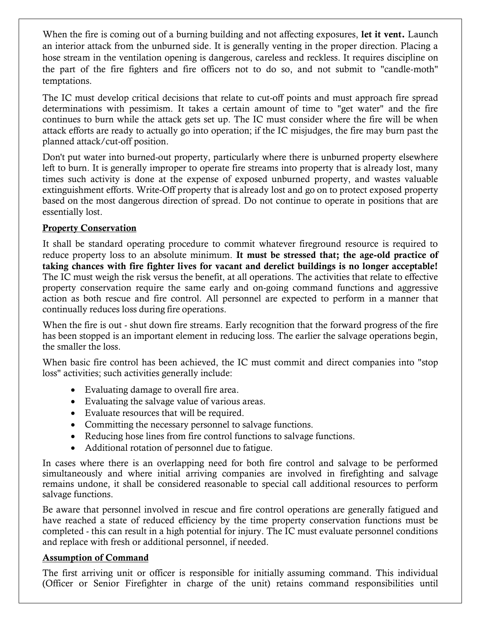When the fire is coming out of a burning building and not affecting exposures, **let it vent.** Launch an interior attack from the unburned side. It is generally venting in the proper direction. Placing a hose stream in the ventilation opening is dangerous, careless and reckless. It requires discipline on the part of the fire fighters and fire officers not to do so, and not submit to "candle-moth" temptations.

The IC must develop critical decisions that relate to cut-off points and must approach fire spread determinations with pessimism. It takes a certain amount of time to "get water" and the fire continues to burn while the attack gets set up. The IC must consider where the fire will be when attack efforts are ready to actually go into operation; if the IC misjudges, the fire may burn past the planned attack/cut-off position.

Don't put water into burned-out property, particularly where there is unburned property elsewhere left to burn. It is generally improper to operate fire streams into property that is already lost, many times such activity is done at the expense of exposed unburned property, and wastes valuable extinguishment efforts. Write-Off property that is already lost and go on to protect exposed property based on the most dangerous direction of spread. Do not continue to operate in positions that are essentially lost.

## **Property Conservation**

It shall be standard operating procedure to commit whatever fireground resource is required to reduce property loss to an absolute minimum. **It must be stressed that; the age-old practice of taking chances with fire fighter lives for vacant and derelict buildings is no longer acceptable!**  The IC must weigh the risk versus the benefit, at all operations. The activities that relate to effective property conservation require the same early and on-going command functions and aggressive action as both rescue and fire control. All personnel are expected to perform in a manner that continually reduces loss during fire operations.

When the fire is out - shut down fire streams. Early recognition that the forward progress of the fire has been stopped is an important element in reducing loss. The earlier the salvage operations begin, the smaller the loss.

When basic fire control has been achieved, the IC must commit and direct companies into "stop loss" activities; such activities generally include:

- Evaluating damage to overall fire area.
- Evaluating the salvage value of various areas.
- Evaluate resources that will be required.
- Committing the necessary personnel to salvage functions.
- Reducing hose lines from fire control functions to salvage functions.
- Additional rotation of personnel due to fatigue.

In cases where there is an overlapping need for both fire control and salvage to be performed simultaneously and where initial arriving companies are involved in firefighting and salvage remains undone, it shall be considered reasonable to special call additional resources to perform salvage functions.

Be aware that personnel involved in rescue and fire control operations are generally fatigued and have reached a state of reduced efficiency by the time property conservation functions must be completed - this can result in a high potential for injury. The IC must evaluate personnel conditions and replace with fresh or additional personnel, if needed.

### **Assumption of Command**

The first arriving unit or officer is responsible for initially assuming command. This individual (Officer or Senior Firefighter in charge of the unit) retains command responsibilities until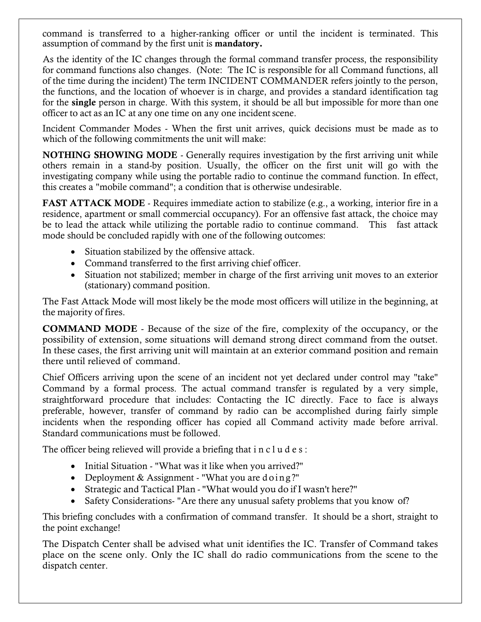command is transferred to a higher-ranking officer or until the incident is terminated. This assumption of command by the first unit is **mandatory.**

As the identity of the IC changes through the formal command transfer process, the responsibility for command functions also changes. (Note: The IC is responsible for all Command functions, all of the time during the incident) The term INCIDENT COMMANDER refers jointly to the person, the functions, and the location of whoever is in charge, and provides a standard identification tag for the **single** person in charge. With this system, it should be all but impossible for more than one officer to act as an IC at any one time on any one incident scene.

Incident Commander Modes - When the first unit arrives, quick decisions must be made as to which of the following commitments the unit will make:

**NOTHING SHOWING MODE** - Generally requires investigation by the first arriving unit while others remain in a stand-by position. Usually, the officer on the first unit will go with the investigating company while using the portable radio to continue the command function. In effect, this creates a "mobile command"; a condition that is otherwise undesirable.

**FAST ATTACK MODE** - Requires immediate action to stabilize (e.g., a working, interior fire in a residence, apartment or small commercial occupancy). For an offensive fast attack, the choice may be to lead the attack while utilizing the portable radio to continue command. This fast attack mode should be concluded rapidly with one of the following outcomes:

- Situation stabilized by the offensive attack.
- Command transferred to the first arriving chief officer.
- Situation not stabilized; member in charge of the first arriving unit moves to an exterior (stationary) command position.

The Fast Attack Mode will most likely be the mode most officers will utilize in the beginning, at the majority of fires.

**COMMAND MODE** - Because of the size of the fire, complexity of the occupancy, or the possibility of extension, some situations will demand strong direct command from the outset. In these cases, the first arriving unit will maintain at an exterior command position and remain there until relieved of command.

Chief Officers arriving upon the scene of an incident not yet declared under control may "take" Command by a formal process. The actual command transfer is regulated by a very simple, straightforward procedure that includes: Contacting the IC directly. Face to face is always preferable, however, transfer of command by radio can be accomplished during fairly simple incidents when the responding officer has copied all Command activity made before arrival. Standard communications must be followed.

The officer being relieved will provide a briefing that i n c l u d e s :

- Initial Situation "What was it like when you arrived?"
- Deployment & Assignment "What you are doing?"
- Strategic and Tactical Plan "What would you do if I wasn't here?"
- Safety Considerations- "Are there any unusual safety problems that you know of?

This briefing concludes with a confirmation of command transfer. It should be a short, straight to the point exchange!

The Dispatch Center shall be advised what unit identifies the IC. Transfer of Command takes place on the scene only. Only the IC shall do radio communications from the scene to the dispatch center.